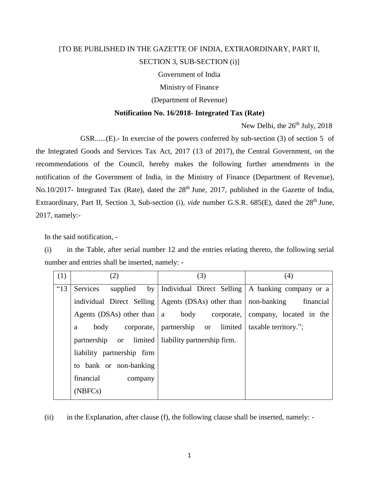## [TO BE PUBLISHED IN THE GAZETTE OF INDIA, EXTRAORDINARY, PART II, SECTION 3, SUB-SECTION (i)]

Government of India

Ministry of Finance

(Department of Revenue)

## **Notification No. 16/2018- Integrated Tax (Rate)**

New Delhi, the 26<sup>th</sup> July, 2018

GSR......(E).**-** In exercise of the powers conferred by sub-section (3) of section 5 of

the Integrated Goods and Services Tax Act, 2017 (13 of 2017), the Central Government, on the recommendations of the Council, hereby makes the following further amendments in the notification of the Government of India, in the Ministry of Finance (Department of Revenue), No.10/2017- Integrated Tax (Rate), dated the 28<sup>th</sup> June, 2017, published in the Gazette of India, Extraordinary, Part II, Section 3, Sub-section (i), *vide* number G.S.R. 685(E), dated the 28<sup>th</sup> June, 2017, namely:-

In the said notification, -

(i) in the Table, after serial number 12 and the entries relating thereto, the following serial number and entries shall be inserted, namely: -

| (1)  | (2)                                     | (3)                                                                | (4)                                     |
|------|-----------------------------------------|--------------------------------------------------------------------|-----------------------------------------|
| "13" | Services<br>supplied<br>by <sub>l</sub> | Individual Direct Selling   A banking company or a                 |                                         |
|      |                                         | individual Direct Selling   Agents (DSAs) other than   non-banking | financial                               |
|      | Agents (DSAs) other than $ a $          |                                                                    | body corporate, company, located in the |
|      | body<br>a                               | corporate, partnership or limited                                  | taxable territory.";                    |
|      | partnership or limited                  | liability partnership firm.                                        |                                         |
|      | liability partnership firm              |                                                                    |                                         |
|      | to bank or non-banking                  |                                                                    |                                         |
|      | financial<br>company                    |                                                                    |                                         |
|      | (NBFCs)                                 |                                                                    |                                         |

(ii) in the Explanation, after clause (f), the following clause shall be inserted, namely: -